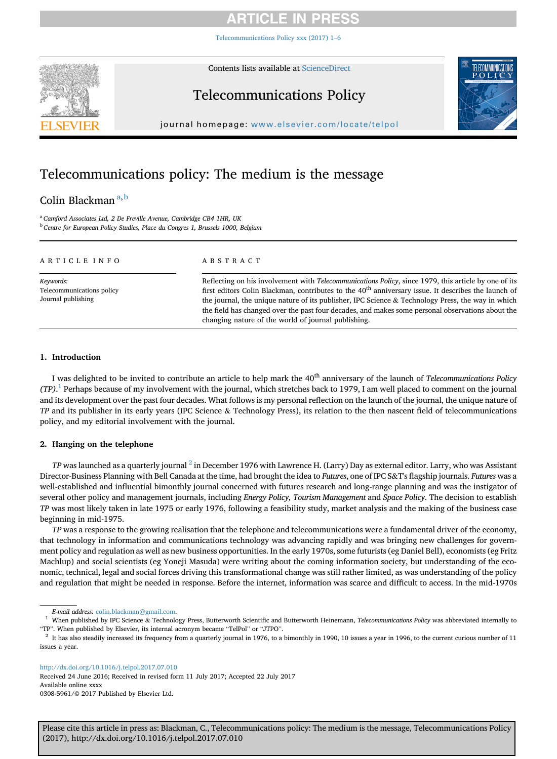## CLE.

[Telecommunications Policy xxx \(2017\) 1](http://dx.doi.org/10.1016/j.telpol.2017.07.010)–[6](http://dx.doi.org/10.1016/j.telpol.2017.07.010)



Contents lists available at [ScienceDirect](www.sciencedirect.com/science/journal/03085961)

## Telecommunications Policy



journal homepage: [www.elsevier.com/locate/telpol](http://www.elsevier.com/locate/telpol)

## Telecommunications policy: The medium is the message

## Colin Blackman<sup>a,b</sup>

<sup>a</sup> Camford Associates Ltd, 2 De Freville Avenue, Cambridge CB4 1HR, UK <sup>b</sup> Centre for European Policy Studies, Place du Congres 1, Brussels 1000, Belgium

| ARTICLE INFO                                                 | A B S T R A C T                                                                                              |
|--------------------------------------------------------------|--------------------------------------------------------------------------------------------------------------|
| Keywords:<br>Telecommunications policy<br>Journal publishing | Reflecting on his involvement with <i>Telecommunications Policy</i> , since 1979, this article by one of its |
|                                                              | first editors Colin Blackman, contributes to the $40th$ anniversary issue. It describes the launch of        |
|                                                              | the journal, the unique nature of its publisher, IPC Science $\&$ Technology Press, the way in which         |
|                                                              | the field has changed over the past four decades, and makes some personal observations about the             |
|                                                              | changing nature of the world of journal publishing.                                                          |

#### 1. Introduction

I was delighted to be invited to contribute an article to help mark the 40<sup>th</sup> anniversary of the launch of Telecommunications Policy (TP). <sup>1</sup> Perhaps because of my involvement with the journal, which stretches back to 1979, I am well placed to comment on the journal and its development over the past four decades. What follows is my personal reflection on the launch of the journal, the unique nature of TP and its publisher in its early years (IPC Science & Technology Press), its relation to the then nascent field of telecommunications policy, and my editorial involvement with the journal.

### 2. Hanging on the telephone

TP was launched as a quarterly journal  $2$  in December 1976 with Lawrence H. (Larry) Day as external editor. Larry, who was Assistant Director-Business Planning with Bell Canada at the time, had brought the idea to Futures, one of IPC S&T's flagship journals. Futures was a well-established and influential bimonthly journal concerned with futures research and long-range planning and was the instigator of several other policy and management journals, including Energy Policy, Tourism Management and Space Policy. The decision to establish TP was most likely taken in late 1975 or early 1976, following a feasibility study, market analysis and the making of the business case beginning in mid-1975.

TP was a response to the growing realisation that the telephone and telecommunications were a fundamental driver of the economy, that technology in information and communications technology was advancing rapidly and was bringing new challenges for government policy and regulation as well as new business opportunities. In the early 1970s, some futurists (eg Daniel Bell), economists (eg Fritz Machlup) and social scientists (eg Yoneji Masuda) were writing about the coming information society, but understanding of the economic, technical, legal and social forces driving this transformational change was still rather limited, as was understanding of the policy and regulation that might be needed in response. Before the internet, information was scarce and difficult to access. In the mid-1970s

<http://dx.doi.org/10.1016/j.telpol.2017.07.010>

Received 24 June 2016; Received in revised form 11 July 2017; Accepted 22 July 2017

Available online xxxx

0308-5961/© 2017 Published by Elsevier Ltd.

Please cite this article in press as: Blackman, C., Telecommunications policy: The medium is the message, Telecommunications Policy (2017), http://dx.doi.org/10.1016/j.telpol.2017.07.010

E-mail address: [colin.blackman@gmail.com](mailto:colin.blackman@gmail.com).

<sup>&</sup>lt;sup>1</sup> When published by IPC Science & Technology Press, Butterworth Scientific and Butterworth Heinemann, Telecommunications Policy was abbreviated internally to "TP". When published by Elsevier, its internal acronym became "TelPol" or "JTPO".

<sup>&</sup>lt;sup>2</sup> It has also steadily increased its frequency from a quarterly journal in 1976, to a bimonthly in 1990, 10 issues a year in 1996, to the current curious number of 11 issues a year.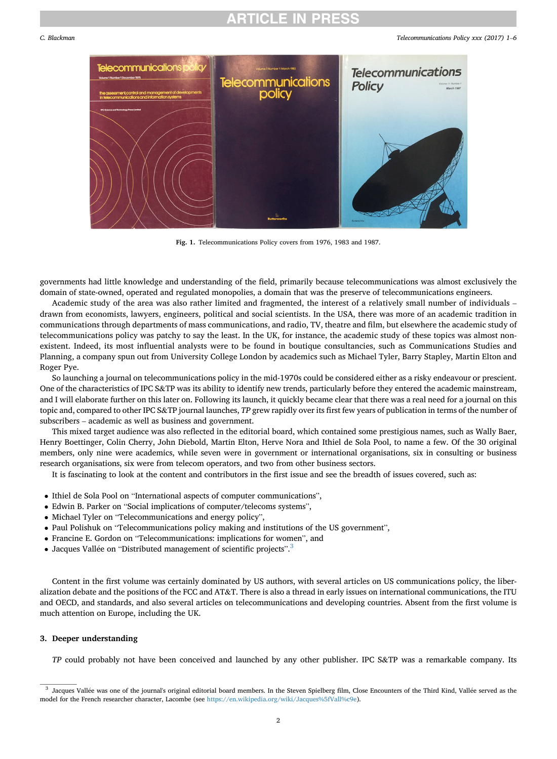

Fig. 1. Telecommunications Policy covers from 1976, 1983 and 1987.

governments had little knowledge and understanding of the field, primarily because telecommunications was almost exclusively the domain of state-owned, operated and regulated monopolies, a domain that was the preserve of telecommunications engineers.

Academic study of the area was also rather limited and fragmented, the interest of a relatively small number of individuals – drawn from economists, lawyers, engineers, political and social scientists. In the USA, there was more of an academic tradition in communications through departments of mass communications, and radio, TV, theatre and film, but elsewhere the academic study of telecommunications policy was patchy to say the least. In the UK, for instance, the academic study of these topics was almost nonexistent. Indeed, its most influential analysts were to be found in boutique consultancies, such as Communications Studies and Planning, a company spun out from University College London by academics such as Michael Tyler, Barry Stapley, Martin Elton and Roger Pye.

So launching a journal on telecommunications policy in the mid-1970s could be considered either as a risky endeavour or prescient. One of the characteristics of IPC S&TP was its ability to identify new trends, particularly before they entered the academic mainstream, and I will elaborate further on this later on. Following its launch, it quickly became clear that there was a real need for a journal on this topic and, compared to other IPC S&TP journal launches, TP grew rapidly over its first few years of publication in terms of the number of subscribers – academic as well as business and government.

This mixed target audience was also reflected in the editorial board, which contained some prestigious names, such as Wally Baer, Henry Boettinger, Colin Cherry, John Diebold, Martin Elton, Herve Nora and Ithiel de Sola Pool, to name a few. Of the 30 original members, only nine were academics, while seven were in government or international organisations, six in consulting or business research organisations, six were from telecom operators, and two from other business sectors.

It is fascinating to look at the content and contributors in the first issue and see the breadth of issues covered, such as:

- Ithiel de Sola Pool on "International aspects of computer communications",
- Edwin B. Parker on "Social implications of computer/telecoms systems",
- Michael Tyler on "Telecommunications and energy policy",
- Paul Polishuk on "Telecommunications policy making and institutions of the US government",
- Francine E. Gordon on "Telecommunications: implications for women", and
- Jacques Vallée on "Distributed management of scientific projects".<sup>3</sup>

Content in the first volume was certainly dominated by US authors, with several articles on US communications policy, the liberalization debate and the positions of the FCC and AT&T. There is also a thread in early issues on international communications, the ITU and OECD, and standards, and also several articles on telecommunications and developing countries. Absent from the first volume is much attention on Europe, including the UK.

#### 3. Deeper understanding

TP could probably not have been conceived and launched by any other publisher. IPC S&TP was a remarkable company. Its

<sup>&</sup>lt;sup>3</sup> Jacques Vallée was one of the journal's original editorial board members. In the Steven Spielberg film, Close Encounters of the Third Kind, Vallée served as the model for the French researcher character, Lacombe (see [https://en.wikipedia.org/wiki/Jacques%5fVall%c9e\)](https://en.wikipedia.org/wiki/Jacques%5fVall%c9e).